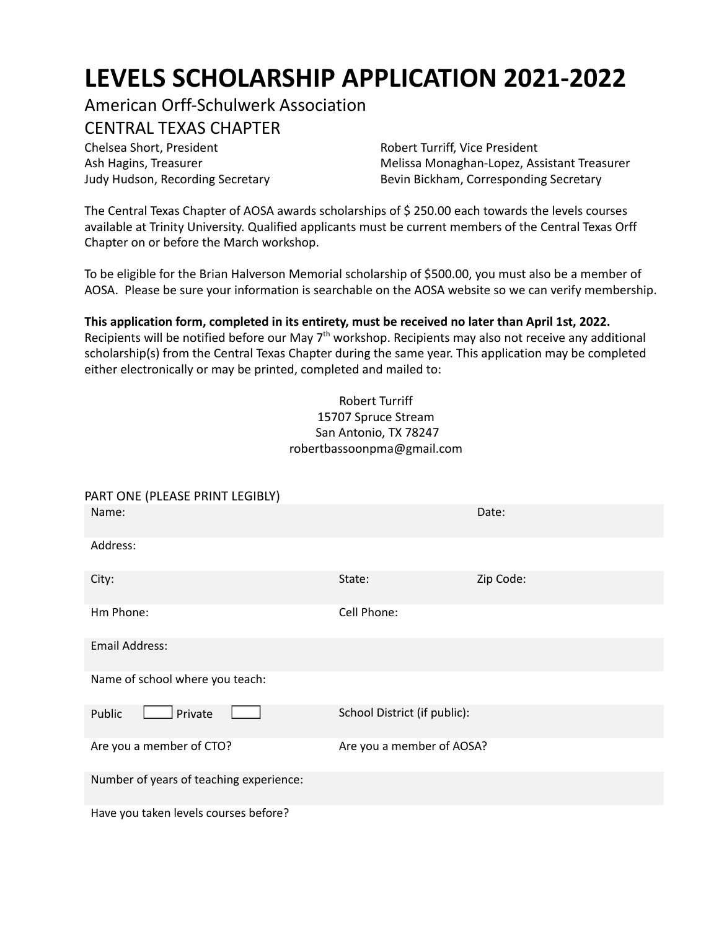# **LEVELS SCHOLARSHIP APPLICATION 2021-2022**

American Orff-Schulwerk Association

# CENTRAL TEXAS CHAPTER

Chelsea Short, President **Robert Turriff, Vice President** Ash Hagins, Treasurer Judy Hudson, Recording Secretary

Melissa Monaghan-Lopez, Assistant Treasurer Bevin Bickham, Corresponding Secretary

The Central Texas Chapter of AOSA awards scholarships of \$ 250.00 each towards the levels courses available at Trinity University. Qualified applicants must be current members of the Central Texas Orff Chapter on or before the March workshop.

To be eligible for the Brian Halverson Memorial scholarship of \$500.00, you must also be a member of AOSA. Please be sure your information is searchable on the AOSA website so we can verify membership.

# **This application form, completed in its entirety, must be received no later than April 1st, 2022.**

Recipients will be notified before our May 7<sup>th</sup> workshop. Recipients may also not receive any additional scholarship(s) from the Central Texas Chapter during the same year. This application may be completed either electronically or may be printed, completed and mailed to:

#### Robert Turriff 15707 Spruce Stream San Antonio, TX 78247 robertbassoonpma@gmail.com

| PART ONE (PLEASE PRINT LEGIBLY)         |                              |           |
|-----------------------------------------|------------------------------|-----------|
| Name:                                   |                              | Date:     |
| Address:                                |                              |           |
| City:                                   | State:                       | Zip Code: |
| Hm Phone:                               | Cell Phone:                  |           |
| <b>Email Address:</b>                   |                              |           |
| Name of school where you teach:         |                              |           |
| Private<br>Public                       | School District (if public): |           |
| Are you a member of CTO?                | Are you a member of AOSA?    |           |
| Number of years of teaching experience: |                              |           |
| Have you taken levels courses before?   |                              |           |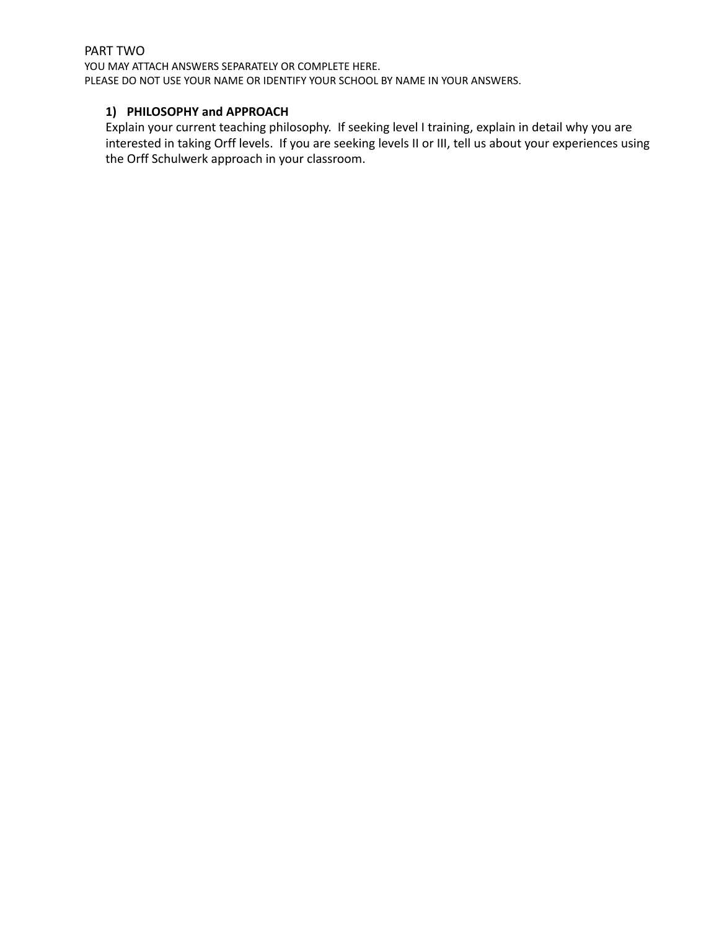# PART TWO

YOU MAY ATTACH ANSWERS SEPARATELY OR COMPLETE HERE. PLEASE DO NOT USE YOUR NAME OR IDENTIFY YOUR SCHOOL BY NAME IN YOUR ANSWERS.

#### **1) PHILOSOPHY and APPROACH**

Explain your current teaching philosophy. If seeking level I training, explain in detail why you are interested in taking Orff levels. If you are seeking levels II or III, tell us about your experiences using the Orff Schulwerk approach in your classroom.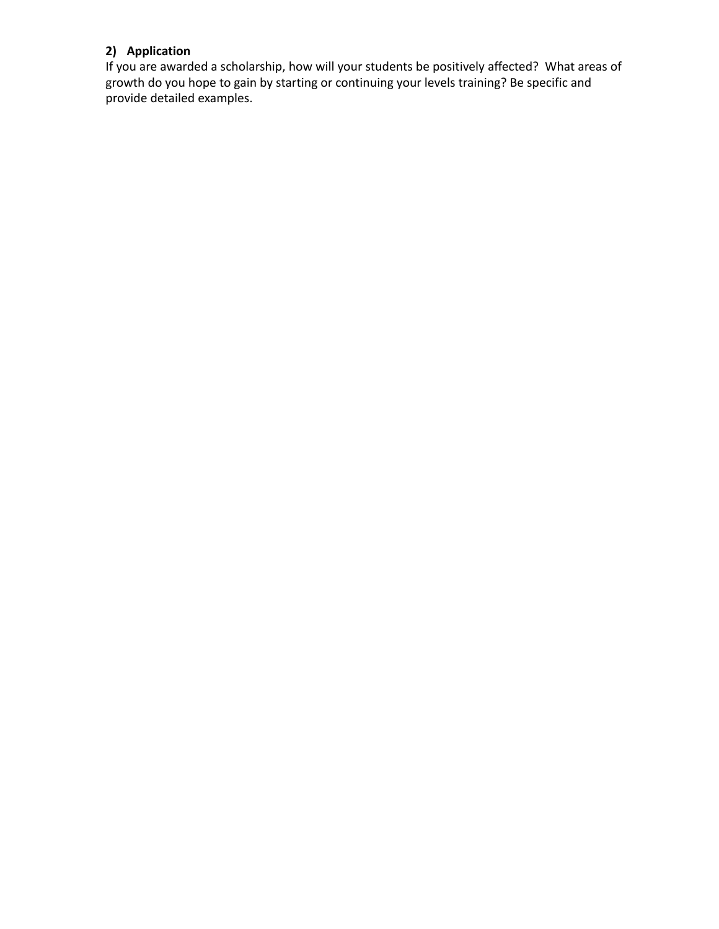### **2) Application**

If you are awarded a scholarship, how will your students be positively affected? What areas of growth do you hope to gain by starting or continuing your levels training? Be specific and provide detailed examples.